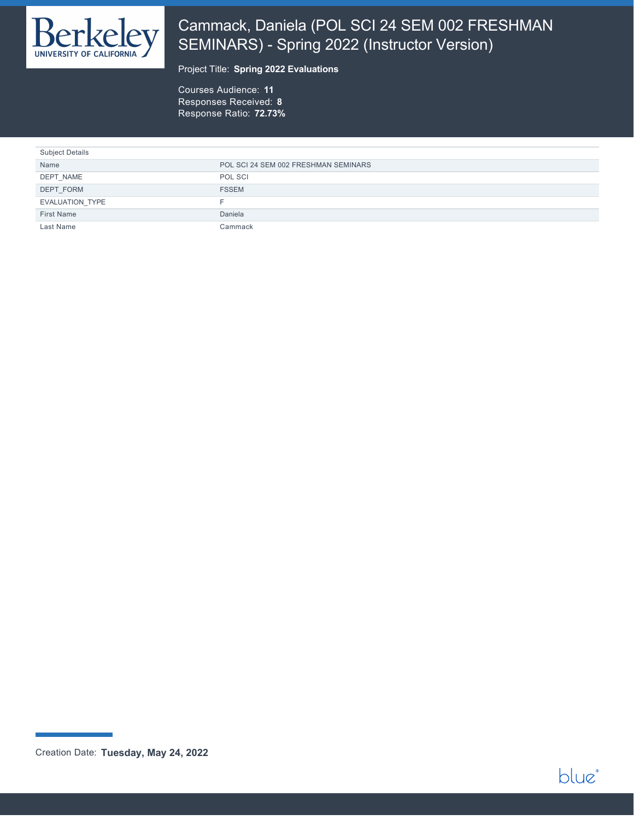

# Cammack, Daniela (POL SCI 24 SEM 002 FRESHMAN SEMINARS) - Spring 2022 (Instructor Version)

Project Title: **Spring 2022 Evaluations**

Courses Audience: **11** Responses Received: **8** Response Ratio: **72.73%**

| <b>Subject Details</b> |                                      |
|------------------------|--------------------------------------|
| Name                   | POL SCI 24 SEM 002 FRESHMAN SEMINARS |
| DEPT NAME              | POL SCI                              |
| DEPT FORM              | <b>FSSEM</b>                         |
| EVALUATION TYPE        |                                      |
| First Name             | Daniela                              |
| Last Name              | Cammack                              |



Creation Date: **Tuesday, May 24, 2022**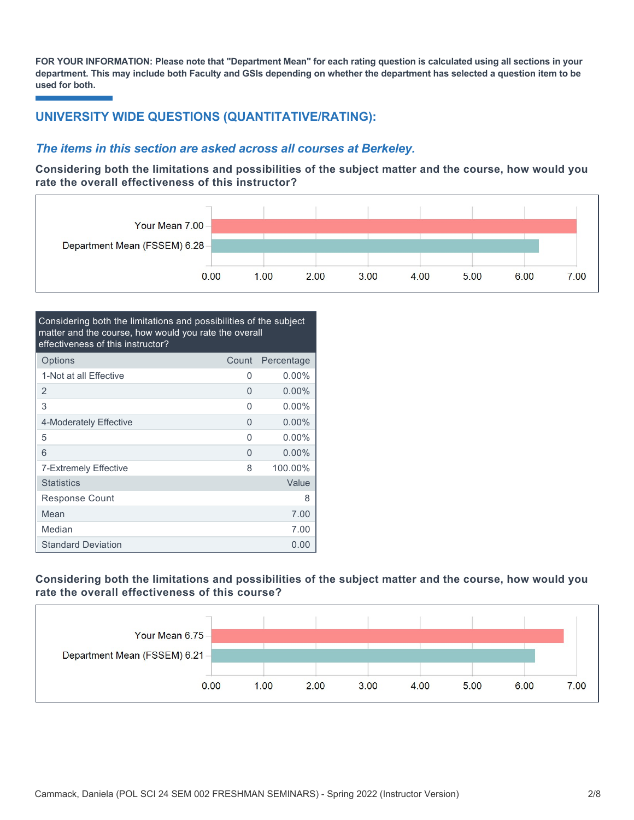**FOR YOUR INFORMATION: Please note that "Department Mean" for each rating question is calculated using all sections in your department. This may include both Faculty and GSIs depending on whether the department has selected a question item to be used for both.**

# **UNIVERSITY WIDE QUESTIONS (QUANTITATIVE/RATING):**

### *The items in this section are asked across all courses at Berkeley.*

**Considering both the limitations and possibilities of the subject matter and the course, how would you rate the overall effectiveness of this instructor?**



| Considering both the limitations and possibilities of the subject<br>matter and the course, how would you rate the overall<br>effectiveness of this instructor? |       |            |
|-----------------------------------------------------------------------------------------------------------------------------------------------------------------|-------|------------|
| Options                                                                                                                                                         | Count | Percentage |
| 1-Not at all Effective                                                                                                                                          | 0     | 0.00%      |
| 2                                                                                                                                                               | 0     | $0.00\%$   |
| 3                                                                                                                                                               | O     | $0.00\%$   |
| 4-Moderately Effective                                                                                                                                          | 0     | $0.00\%$   |
| 5                                                                                                                                                               | 0     | $0.00\%$   |
| 6                                                                                                                                                               | 0     | $0.00\%$   |
| 7-Extremely Effective                                                                                                                                           | 8     | 100.00%    |
| <b>Statistics</b>                                                                                                                                               |       | Value      |
| <b>Response Count</b>                                                                                                                                           |       | 8          |
| Mean                                                                                                                                                            |       | 7.00       |
| Median                                                                                                                                                          |       | 7.00       |
| <b>Standard Deviation</b>                                                                                                                                       |       | 0.00       |

### **Considering both the limitations and possibilities of the subject matter and the course, how would you rate the overall effectiveness of this course?**

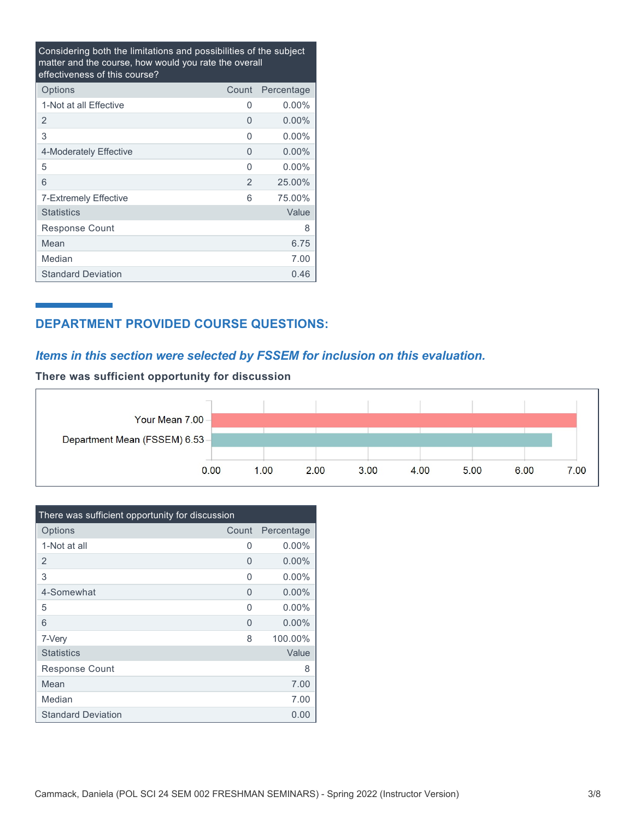Considering both the limitations and possibilities of the subject matter and the course, how would you rate the overall effectiveness of this course?

| Options                   | Count | Percentage |
|---------------------------|-------|------------|
| 1-Not at all Effective    | 0     | $0.00\%$   |
| 2                         | 0     | $0.00\%$   |
| 3                         | 0     | $0.00\%$   |
| 4-Moderately Effective    | 0     | $0.00\%$   |
| 5                         | 0     | $0.00\%$   |
| 6                         | 2     | 25.00%     |
| 7-Extremely Effective     | 6     | 75.00%     |
| <b>Statistics</b>         |       | Value      |
| Response Count            |       | 8          |
| Mean                      |       | 6.75       |
| Median                    |       | 7.00       |
| <b>Standard Deviation</b> |       | 0.46       |

# **DEPARTMENT PROVIDED COURSE QUESTIONS:**

## *Items in this section were selected by FSSEM for inclusion on this evaluation.*

**There was sufficient opportunity for discussion**



| There was sufficient opportunity for discussion |       |            |  |  |  |
|-------------------------------------------------|-------|------------|--|--|--|
| Options                                         | Count | Percentage |  |  |  |
| 1-Not at all                                    | U     | $0.00\%$   |  |  |  |
| 2                                               | 0     | $0.00\%$   |  |  |  |
| 3                                               | 0     | $0.00\%$   |  |  |  |
| 4-Somewhat                                      | U     | $0.00\%$   |  |  |  |
| 5                                               | O     | $0.00\%$   |  |  |  |
| 6                                               | 0     | $0.00\%$   |  |  |  |
| 7-Very                                          | 8     | 100.00%    |  |  |  |
| <b>Statistics</b>                               |       | Value      |  |  |  |
| Response Count                                  |       | 8          |  |  |  |
| Mean                                            |       | 7.00       |  |  |  |
| Median                                          |       | 7.00       |  |  |  |
| <b>Standard Deviation</b>                       |       | 0.00       |  |  |  |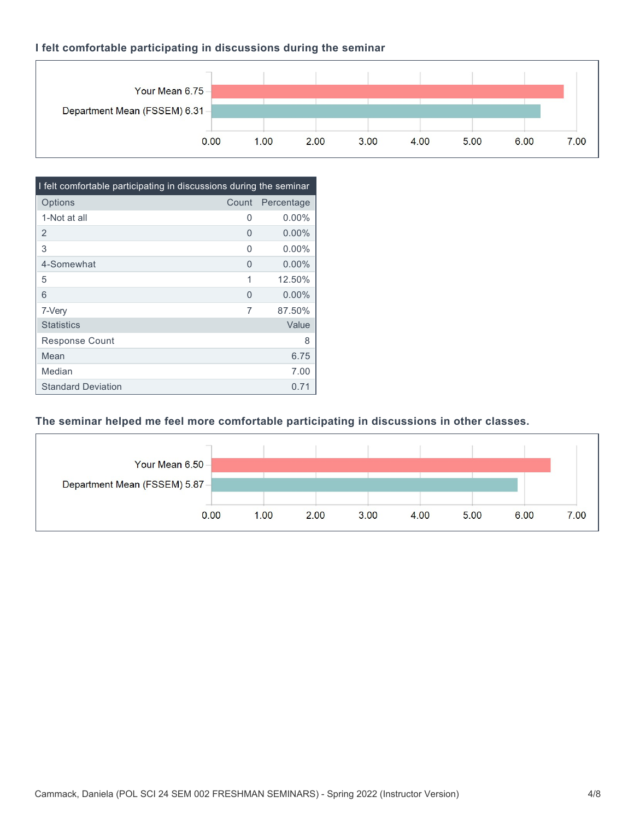### **I felt comfortable participating in discussions during the seminar**

'n

|                               | 0.00 | 1.00 | 2.00 | 3.00 | 4.00 | 5.00 | 6.00 | 7.00 |
|-------------------------------|------|------|------|------|------|------|------|------|
| Department Mean (FSSEM) 6.31- |      |      |      |      |      |      |      |      |
| Your Mean 6.75 -              |      |      |      |      |      |      |      |      |
|                               |      |      |      |      |      |      |      |      |

| I felt comfortable participating in discussions during the seminar |          |            |  |  |  |
|--------------------------------------------------------------------|----------|------------|--|--|--|
| Options                                                            | Count    | Percentage |  |  |  |
| 1-Not at all                                                       | 0        | $0.00\%$   |  |  |  |
| $\overline{2}$                                                     | 0        | $0.00\%$   |  |  |  |
| 3                                                                  | 0        | $0.00\%$   |  |  |  |
| 4-Somewhat                                                         | $\Omega$ | $0.00\%$   |  |  |  |
| 5                                                                  | 1        | 12.50%     |  |  |  |
| 6                                                                  | O        | $0.00\%$   |  |  |  |
| 7-Very                                                             | 7        | 87.50%     |  |  |  |
| <b>Statistics</b>                                                  |          | Value      |  |  |  |
| <b>Response Count</b>                                              |          | 8          |  |  |  |
| Mean                                                               |          | 6.75       |  |  |  |
| Median                                                             |          | 7.00       |  |  |  |
| <b>Standard Deviation</b>                                          |          | 0.71       |  |  |  |

### **The seminar helped me feel more comfortable participating in discussions in other classes.**

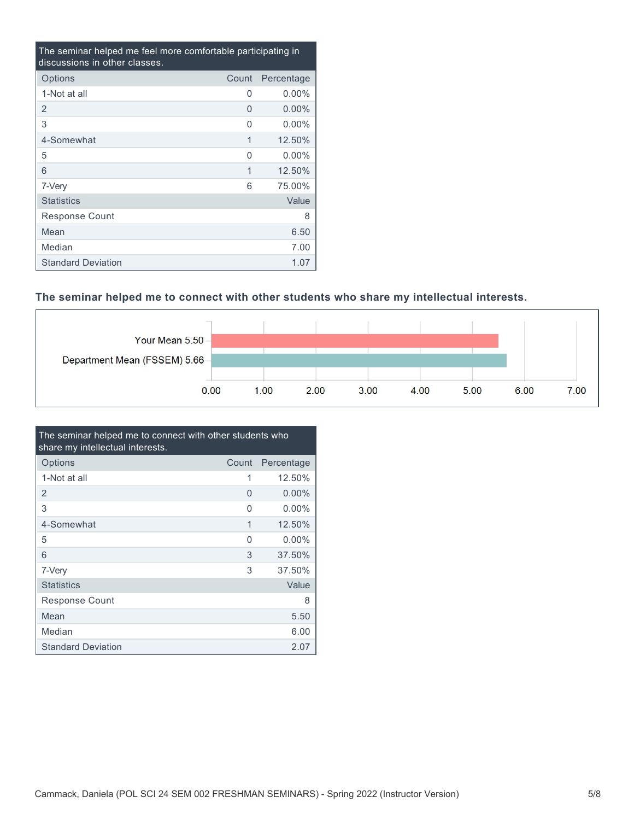| The seminar helped me feel more comfortable participating in<br>discussions in other classes. |          |            |  |  |  |
|-----------------------------------------------------------------------------------------------|----------|------------|--|--|--|
| Options                                                                                       | Count    | Percentage |  |  |  |
| 1-Not at all                                                                                  | 0        | $0.00\%$   |  |  |  |
| 2                                                                                             | $\Omega$ | $0.00\%$   |  |  |  |
| 3                                                                                             | 0        | $0.00\%$   |  |  |  |
| 4-Somewhat                                                                                    | 1        | 12.50%     |  |  |  |
| 5                                                                                             | O        | $0.00\%$   |  |  |  |
| 6                                                                                             | 1        | 12.50%     |  |  |  |
| 7-Very                                                                                        | 6        | 75.00%     |  |  |  |
| <b>Statistics</b>                                                                             |          | Value      |  |  |  |
| Response Count                                                                                |          | 8          |  |  |  |
| Mean                                                                                          |          | 6.50       |  |  |  |
| Median                                                                                        |          | 7.00       |  |  |  |
| <b>Standard Deviation</b>                                                                     |          | 1.07       |  |  |  |

# **The seminar helped me to connect with other students who share my intellectual interests.**



| The seminar helped me to connect with other students who<br>share my intellectual interests. |          |            |  |  |
|----------------------------------------------------------------------------------------------|----------|------------|--|--|
| Options                                                                                      | Count    | Percentage |  |  |
| 1-Not at all                                                                                 | 1        | 12.50%     |  |  |
| 2                                                                                            | 0        | $0.00\%$   |  |  |
| 3                                                                                            | $\Omega$ | $0.00\%$   |  |  |
| 4-Somewhat                                                                                   | 1        | 12.50%     |  |  |
| 5                                                                                            | O        | $0.00\%$   |  |  |
| 6                                                                                            | 3        | 37.50%     |  |  |
| 7-Very                                                                                       | 3        | 37.50%     |  |  |
| <b>Statistics</b>                                                                            |          | Value      |  |  |
| Response Count                                                                               |          | 8          |  |  |
| Mean                                                                                         |          | 5.50       |  |  |
| Median                                                                                       |          | 6.00       |  |  |
| <b>Standard Deviation</b>                                                                    |          | 2.07       |  |  |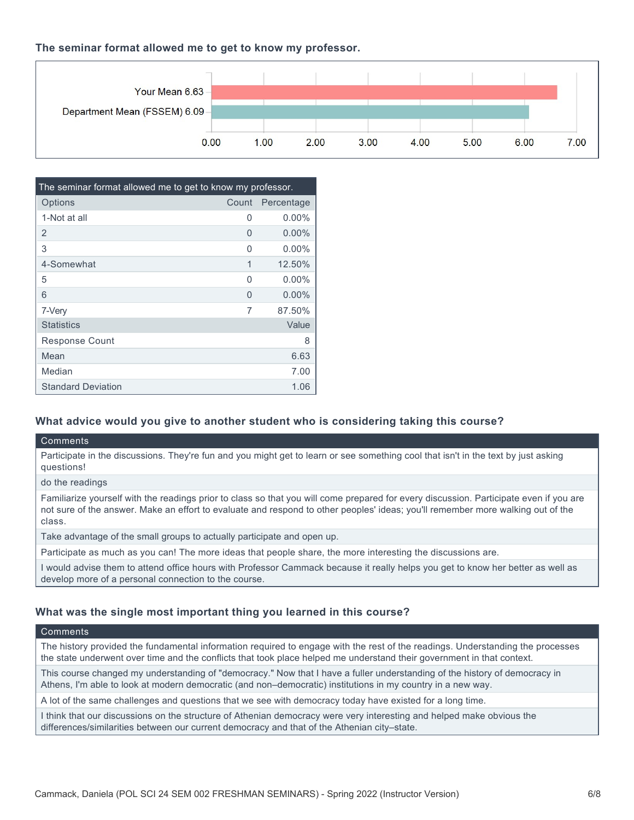#### **The seminar format allowed me to get to know my professor.**

| Your Mean 6.63 -              |      |      |      |      |      |      |      |      |
|-------------------------------|------|------|------|------|------|------|------|------|
| Department Mean (FSSEM) 6.09- |      |      |      |      |      |      |      |      |
|                               | 0.00 | 1.00 | 2.00 | 3.00 | 4.00 | 5.00 | 6.00 | 7.00 |

| The seminar format allowed me to get to know my professor. |       |            |  |  |  |
|------------------------------------------------------------|-------|------------|--|--|--|
| Options                                                    | Count | Percentage |  |  |  |
| 1-Not at all                                               | 0     | $0.00\%$   |  |  |  |
| 2                                                          | 0     | $0.00\%$   |  |  |  |
| 3                                                          | U     | $0.00\%$   |  |  |  |
| 4-Somewhat                                                 | 1     | 12.50%     |  |  |  |
| 5                                                          | U     | $0.00\%$   |  |  |  |
| 6                                                          | O     | $0.00\%$   |  |  |  |
| 7-Very                                                     | 7     | 87.50%     |  |  |  |
| <b>Statistics</b>                                          |       | Value      |  |  |  |
| <b>Response Count</b>                                      |       | 8          |  |  |  |
| Mean                                                       |       | 6.63       |  |  |  |
| Median                                                     |       | 7.00       |  |  |  |
| <b>Standard Deviation</b>                                  |       | 1.06       |  |  |  |

#### **What advice would you give to another student who is considering taking this course?**

#### **Comments**

Participate in the discussions. They're fun and you might get to learn or see something cool that isn't in the text by just asking questions!

do the readings

Familiarize yourself with the readings prior to class so that you will come prepared for every discussion. Participate even if you are not sure of the answer. Make an effort to evaluate and respond to other peoples' ideas; you'll remember more walking out of the class.

Take advantage of the small groups to actually participate and open up.

Participate as much as you can! The more ideas that people share, the more interesting the discussions are.

I would advise them to attend office hours with Professor Cammack because it really helps you get to know her better as well as develop more of a personal connection to the course.

#### **What was the single most important thing you learned in this course?**

#### Comments

The history provided the fundamental information required to engage with the rest of the readings. Understanding the processes the state underwent over time and the conflicts that took place helped me understand their government in that context.

This course changed my understanding of "democracy." Now that I have a fuller understanding of the history of democracy in Athens, I'm able to look at modern democratic (and non–democratic) institutions in my country in a new way.

A lot of the same challenges and questions that we see with democracy today have existed for a long time.

I think that our discussions on the structure of Athenian democracy were very interesting and helped make obvious the differences/similarities between our current democracy and that of the Athenian city–state.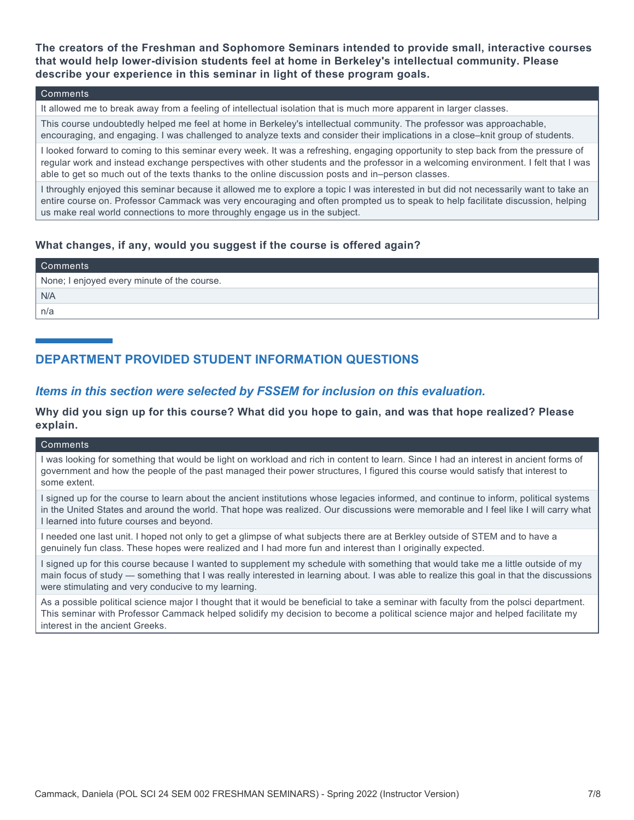**The creators of the Freshman and Sophomore Seminars intended to provide small, interactive courses that would help lower-division students feel at home in Berkeley's intellectual community. Please describe your experience in this seminar in light of these program goals.**

#### **Comments**

It allowed me to break away from a feeling of intellectual isolation that is much more apparent in larger classes.

This course undoubtedly helped me feel at home in Berkeley's intellectual community. The professor was approachable, encouraging, and engaging. I was challenged to analyze texts and consider their implications in a close–knit group of students.

I looked forward to coming to this seminar every week. It was a refreshing, engaging opportunity to step back from the pressure of regular work and instead exchange perspectives with other students and the professor in a welcoming environment. I felt that I was able to get so much out of the texts thanks to the online discussion posts and in–person classes.

I throughly enjoyed this seminar because it allowed me to explore a topic I was interested in but did not necessarily want to take an entire course on. Professor Cammack was very encouraging and often prompted us to speak to help facilitate discussion, helping us make real world connections to more throughly engage us in the subject.

#### **What changes, if any, would you suggest if the course is offered again?**

| Comments                                    |
|---------------------------------------------|
| None; I enjoyed every minute of the course. |
| N/A                                         |
| n/a                                         |

# **DEPARTMENT PROVIDED STUDENT INFORMATION QUESTIONS**

### *Items in this section were selected by FSSEM for inclusion on this evaluation.*

**Why did you sign up for this course? What did you hope to gain, and was that hope realized? Please explain.**

#### **Comments**

I was looking for something that would be light on workload and rich in content to learn. Since I had an interest in ancient forms of government and how the people of the past managed their power structures, I figured this course would satisfy that interest to some extent.

I signed up for the course to learn about the ancient institutions whose legacies informed, and continue to inform, political systems in the United States and around the world. That hope was realized. Our discussions were memorable and I feel like I will carry what I learned into future courses and beyond.

I needed one last unit. I hoped not only to get a glimpse of what subjects there are at Berkley outside of STEM and to have a genuinely fun class. These hopes were realized and I had more fun and interest than I originally expected.

I signed up for this course because I wanted to supplement my schedule with something that would take me a little outside of my main focus of study — something that I was really interested in learning about. I was able to realize this goal in that the discussions were stimulating and very conducive to my learning.

As a possible political science major I thought that it would be beneficial to take a seminar with faculty from the polsci department. This seminar with Professor Cammack helped solidify my decision to become a political science major and helped facilitate my interest in the ancient Greeks.